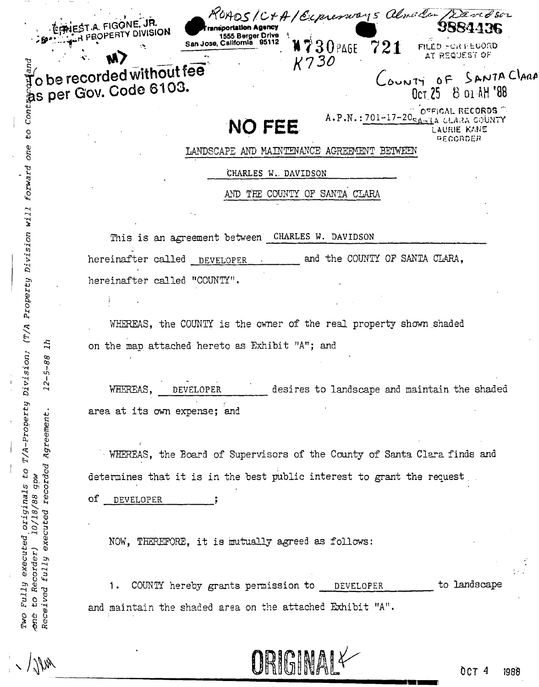| κ.<br><b>SION</b> | <b>Transportation Agency</b><br>1555 Berger Drive |                  |     | 3884436                                         |  |
|-------------------|---------------------------------------------------|------------------|-----|-------------------------------------------------|--|
|                   | San Jose, California 95112<br>۰.                  | W730PAGE<br>K730 | 721 | FILED FOR FEGORD<br>AT REQUEST OF               |  |
| 6103.             | hout fee $\sim$                                   |                  |     | LOUNTY OF SANTA<br>8 01 AH '88<br><b>Oct 25</b> |  |

ROADS/C+A/Ecpressions almoder/Davidsor

# **NO FEE**

OFFICAL RECORDS  $A.P.N.: 701-17-20$ a glara gounty AURIE KANÉ

ANTA CLARA

LANDSCAPE AND MAINTENANCE AGREEMENT BETWEEN

CHARLES W. DAVIDSON

AND THE COUNTY OF SANTA CLARA

This is an agreement between CHARLES W. DAVIDSON

and the COUNTY OF SANTA CLARA. hereinafter called DEVELOPER hereinafter called "COUNTY".

WHEREAS, the COUNTY is the owner of the real property shown shaded on the map attached hereto as Exhibit "A"; and

WHEREAS. desires to landscape and maintain the shaded DEVELOPER area at its own expense; and

WHEREAS, the Board of Supervisors of the County of Santa Clara finds and determines that it is in the best public interest to grant the request

οf DEVELOPER

r al FIGON

be recorded wit

s per Gov. Code

and

Cont

 $c_4$ 

originals to T/A-Property Division; (T/A Property Division will forward one

 $\overline{11}$ 

 $12 - 5 - 88$ 

Agreement

executed recorded

10/18/88 gpw

executed

Fully

to Recorder) fully

 $\sigma$ Two

Received

NOW, THEREFORE, it is mutually agreed as follows:

 $1.$ COUNTY hereby grants permission to \_ DEVELOPER to landscape and maintain the shaded area on the attached Exhibit "A".

ORIGINAL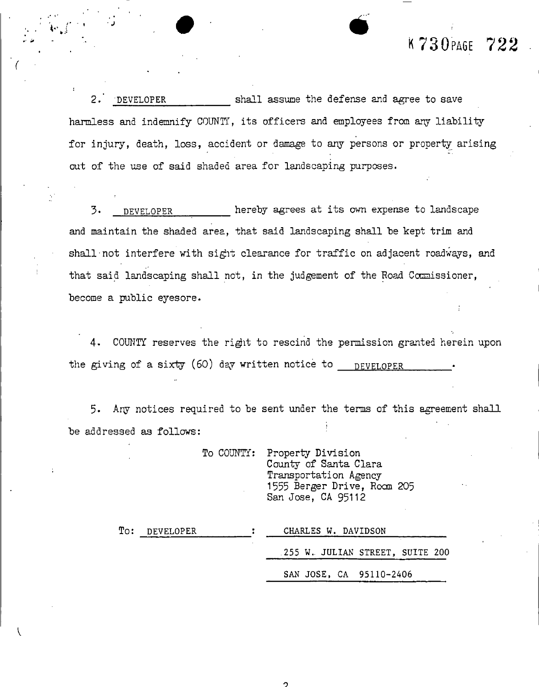## K  $730$  PAGE  $722$

**2 . DEVELOPE R shall assume th e defens e and agre e to save**  harmless and indemnify COUNTY, its officers and employees from any liability **for injury, death, loss, accident or damage to any persons or property arising out of the use of said shaded area for landscaping purposes.** 

 $\bullet$   $\bullet$ 

**3 . DEVELOPE R hereb y agrees a t its own expense to landscape and maintain the shaded area, that said landscaping shall be kept trim and shall not interfere with sigit clearance for traffic on adjacent roadways, and that said landscaping shall not, in the judgement of the Road Commissioner, become a public eyesore.** 

4. COUNTY reserves the right to rescind the permission granted herein upon the giving of a sixty (60) day written notice to **DEVELOPER** 

**5\* Any notices required to be sent under the terms of this agreement shall be addressed as follows:** 

> **To COUNTY: Property Division County of Santa Clara Transportation Agency 1555 Berger Drive, Roan 205 San Jose, CA 95112**

| To: DEVELOPER | CHARLES W. DAVIDSON              |  |  |  |
|---------------|----------------------------------|--|--|--|
|               | .255 W. JULIAN STREET, SUITE 200 |  |  |  |
|               | SAN JOSE, CA 95110-2406          |  |  |  |

 $\overline{2}$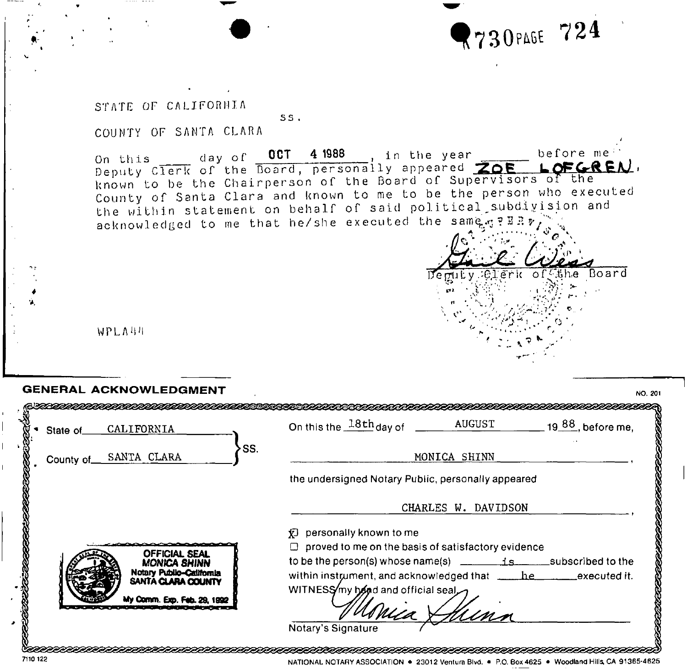

 $\overline{\text{er}}$ k of $\overline{\text{C}}$ the Board

.. ^

STATE OF CALIFORNIA

COUNTY OF SANTA CLARA

On this  $\frac{1}{\sqrt{2}}$  day of  $\frac{1}{\sqrt{2}}$ Deputy Clerk of the Board, personally appeared k no w n County the within statement on behalf of said political subdivision and acknowledged to me that he/she executed the same gives **OCT 4 1988** in the year before me' LOFGREA o be the Chairperson of the board of supervisors of the<br>of Santa Clara and known to me to be the person who executed<br>... Clerk of the Board, personally appe to be the Chairperson of the Board of Supervisors<br>The Board of Supervisory is no to be the person w

ss .

WPLA'IM

7110 122

| CALIFORNIA<br>State of                            | On this the $18th$ day of ______<br>AUGUST<br>19 88, before me,                                                                   |
|---------------------------------------------------|-----------------------------------------------------------------------------------------------------------------------------------|
| SS.<br>County of SANTA CLARA                      | MONICA SHINN                                                                                                                      |
|                                                   | the undersigned Notary Public, personally appeared                                                                                |
|                                                   | CHARLES W. DAVIDSON                                                                                                               |
|                                                   | personally known to me<br>Ð                                                                                                       |
| <b>OFFICIAL SEAL</b>                              | $\Box$ proved to me on the basis of satisfactory evidence<br>to be the person(s) whose name(s) $\frac{1}{s}$ is subscribed to the |
| <b>MONICA SHINN</b><br>Notary Public-Catifornia   | within instrument, and acknowledged that _____he__________executed it.                                                            |
| SANTA CLARA COUNTY<br>My Comm. Exp. Feb. 29, 1992 | WITNESS/my hand and official seal<br>s place &                                                                                    |

NATIONAL NOTARY ASSOCIATION • 23012 Ventura Blvd. • P.O. Box 4625 • Woodland Hills, CA 91365-4625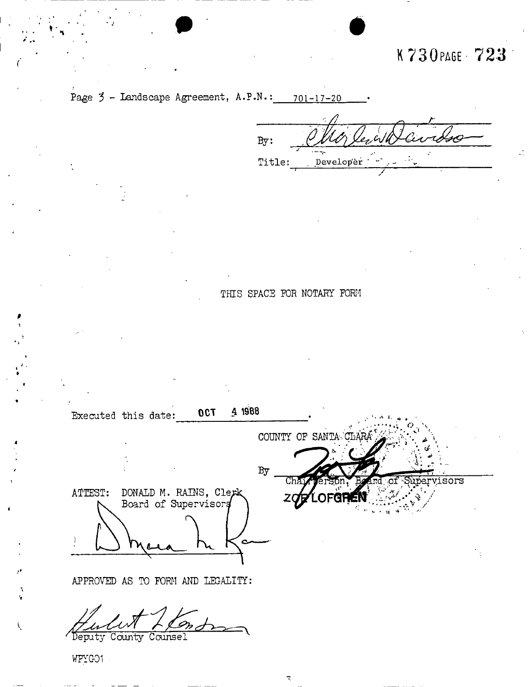## K730PA6E - 723



 $By:$ Title: Developer

### THIS SPACE FOR NOTARY FORM

Executed this date:  $0CT$  4 1988 COUNTY OF SANTAGE By isors ATTEST: DONALD M. RAINS, Clerk Board of Supervisors **APPROVED AS TO FORM AND LEGALITY:** 

Deputy County Counsel

**WPYC-01**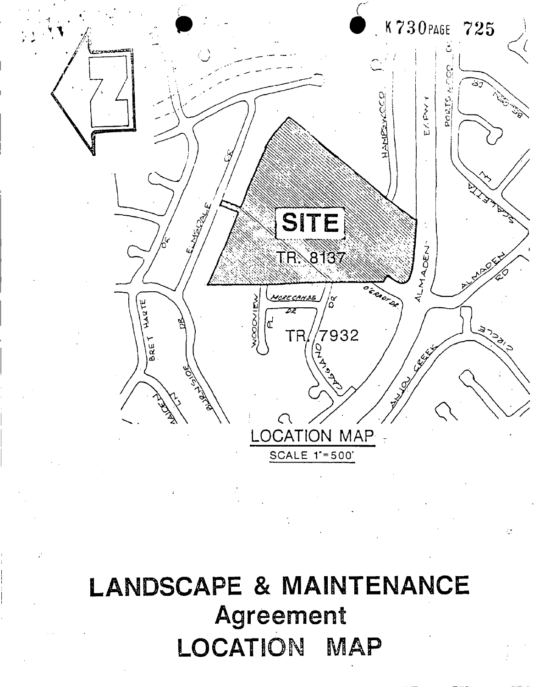

# **LANDSCAPE & MAINTENANCE** Agreement LOCATION **MAP**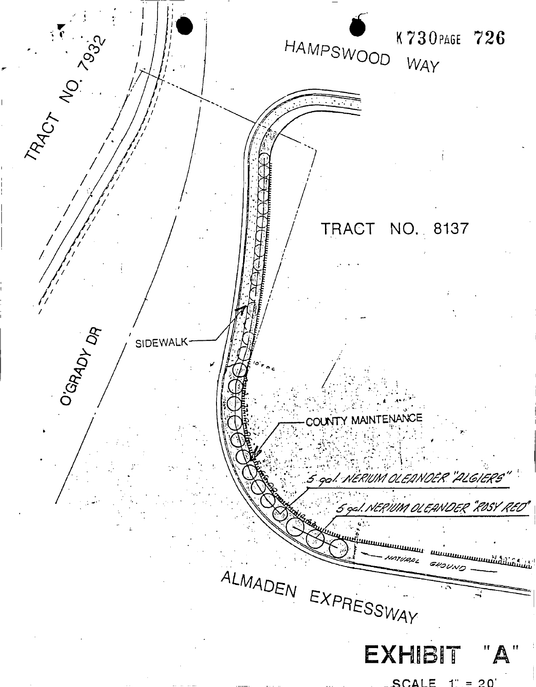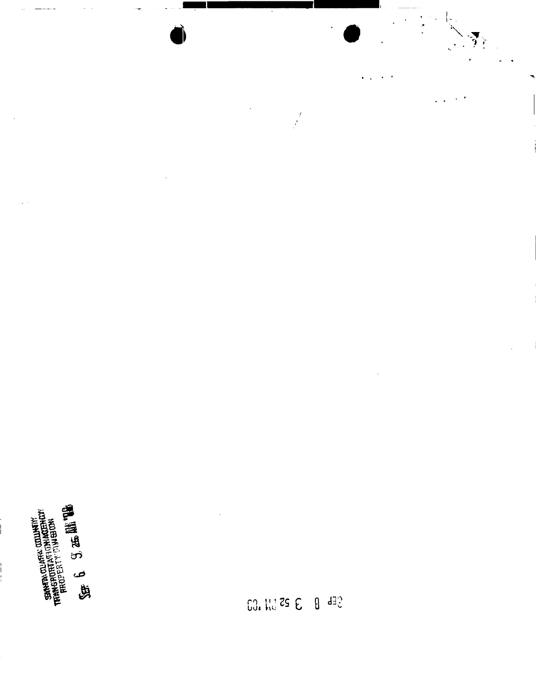

 $\theta$  deg  $63.1125E$ 

 $\frac{d}{dt}$ 

 $\overline{a}$ 

 $\sum\limits_{i=1}^n \frac{1}{i}$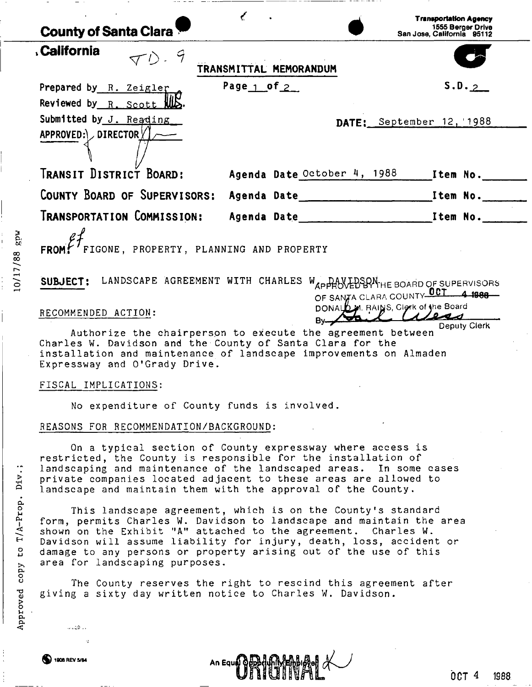| <b>County of Santa Clara</b>                                                               |                                                                                                                                                                                                                                                                                                                                                  | <b>Transportation Agency</b><br>1555 Berger Drive<br>San Jose, California 95112 |
|--------------------------------------------------------------------------------------------|--------------------------------------------------------------------------------------------------------------------------------------------------------------------------------------------------------------------------------------------------------------------------------------------------------------------------------------------------|---------------------------------------------------------------------------------|
| , California<br>$\nabla D - 9$                                                             | TRANSMITTAL MEMORANDUM                                                                                                                                                                                                                                                                                                                           |                                                                                 |
| Prepared by R. Zeigler<br>Reviewed by $R$ . Scott $ML$                                     | Page $1$ of $2$                                                                                                                                                                                                                                                                                                                                  | S.D. 2                                                                          |
| Submitted by J. Reading<br>$APPROVED:\rightarrow DIRECTOR \times \rightarrow$              |                                                                                                                                                                                                                                                                                                                                                  | DATE: September 12, 1988                                                        |
| TRANSIT DISTRICT BOARD:                                                                    | Agenda Date October 4, 1988                                                                                                                                                                                                                                                                                                                      | Item No.                                                                        |
|                                                                                            |                                                                                                                                                                                                                                                                                                                                                  |                                                                                 |
|                                                                                            |                                                                                                                                                                                                                                                                                                                                                  |                                                                                 |
| FROM $f^7$ FIGONE, PROPERTY, PLANNING AND PROPERTY                                         |                                                                                                                                                                                                                                                                                                                                                  |                                                                                 |
| RECOMMENDED ACTION:                                                                        | SUBJECT: LANDSCAPE AGREEMENT WITH CHARLES WAPPROVED BOARD OF SUPERVISORS<br>OF SANZA CLARA COUNTY OCT 4 1988<br>DONALD M. RAINS, Clork of the Board                                                                                                                                                                                              |                                                                                 |
| Charles W. Davidson and the County of Santa Clara for the<br>Expressway and O'Grady Drive. | Authorize the chairperson to execute the agreement between<br>installation and maintenance of landscape improvements on Almaden                                                                                                                                                                                                                  |                                                                                 |
| FISCAL IMPLICATIONS:                                                                       |                                                                                                                                                                                                                                                                                                                                                  |                                                                                 |
| No expenditure of County funds is involved.                                                |                                                                                                                                                                                                                                                                                                                                                  |                                                                                 |
| REASONS FOR RECOMMENDATION/BACKGROUND:                                                     |                                                                                                                                                                                                                                                                                                                                                  |                                                                                 |
|                                                                                            | On a typical section of County expressway where access is<br>restricted, the County is responsible for the installation of<br>landscaping and maintenance of the landscaped areas. In some cases<br>private companies located adjacent to these areas are allowed to<br>landscape and maintain them with the approval of the County.             |                                                                                 |
| area for landscaping purposes.                                                             | This landscape agreement, which is on the County's standard<br>form, permits Charles W. Davidson to landscape and maintain the area<br>shown on the Exhibit "A" attached to the agreement. Charles W.<br>Davidson will assume liability for injury, death, loss, accident or<br>damage to any persons or property arising out of the use of this |                                                                                 |
| giving a sixty day written notice to Charles W. Davidson.                                  | The County reserves the right to rescind this agreement after                                                                                                                                                                                                                                                                                    |                                                                                 |
| a alba                                                                                     |                                                                                                                                                                                                                                                                                                                                                  |                                                                                 |

 $\overline{\phantom{0}}$ 

 $\begin{bmatrix} 1 \\ 1 \\ 1 \end{bmatrix}$ 

 $\frac{1}{2}$ 

İ

10/17/88 gpw

Approved copy to T/A-Prop. Div.;

 $\frac{1}{2}$ 

 $\frac{1}{3}$ 

 $\hat{\boldsymbol{\cdot}}$ 

1908 REV 5/84

 $- - - -$ 

An Equeno Portugal A